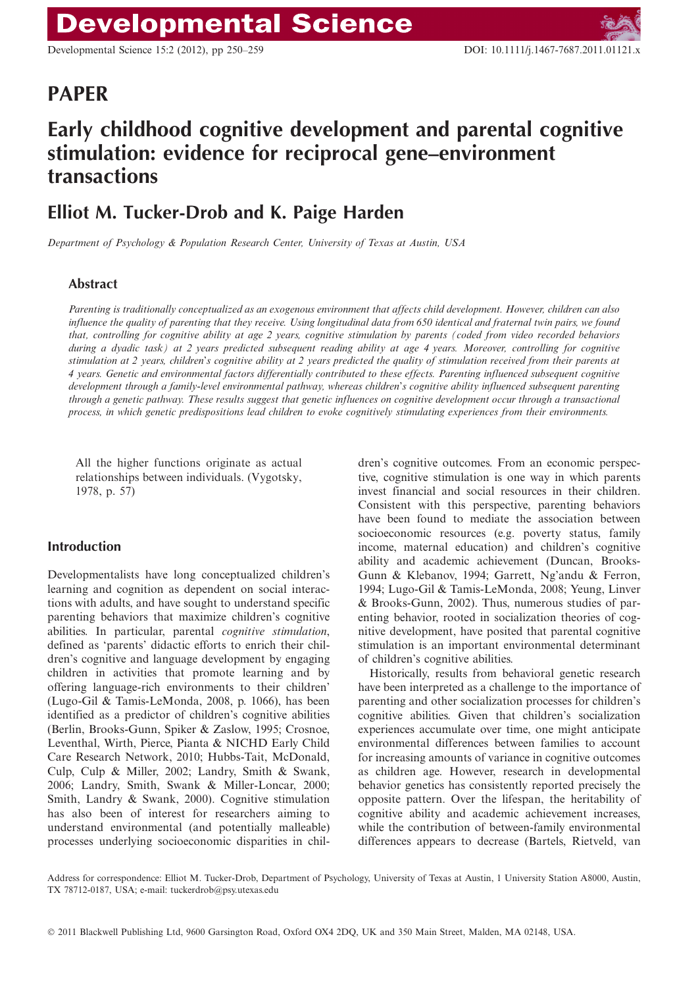## PAPER

# Early childhood cognitive development and parental cognitive stimulation: evidence for reciprocal gene–environment transactions

## Elliot M. Tucker-Drob and K. Paige Harden

Department of Psychology & Population Research Center, University of Texas at Austin, USA

## Abstract

Parenting is traditionally conceptualized as an exogenous environment that affects child development. However, children can also influence the quality of parenting that they receive. Using longitudinal data from 650 identical and fraternal twin pairs, we found that, controlling for cognitive ability at age 2 years, cognitive stimulation by parents (coded from video recorded behaviors during a dyadic task) at 2 years predicted subsequent reading ability at age 4 years. Moreover, controlling for cognitive stimulation at 2 years, children's cognitive ability at 2 years predicted the quality of stimulation received from their parents at 4 years. Genetic and environmental factors differentially contributed to these effects. Parenting influenced subsequent cognitive development through a family-level environmental pathway, whereas children's cognitive ability influenced subsequent parenting through a genetic pathway. These results suggest that genetic influences on cognitive development occur through a transactional process, in which genetic predispositions lead children to evoke cognitively stimulating experiences from their environments.

All the higher functions originate as actual relationships between individuals. (Vygotsky, 1978, p. 57)

## Introduction

Developmentalists have long conceptualized children's learning and cognition as dependent on social interactions with adults, and have sought to understand specific parenting behaviors that maximize children's cognitive abilities. In particular, parental cognitive stimulation, defined as 'parents' didactic efforts to enrich their children's cognitive and language development by engaging children in activities that promote learning and by offering language-rich environments to their children' (Lugo-Gil & Tamis-LeMonda, 2008, p. 1066), has been identified as a predictor of children's cognitive abilities (Berlin, Brooks-Gunn, Spiker & Zaslow, 1995; Crosnoe, Leventhal, Wirth, Pierce, Pianta & NICHD Early Child Care Research Network, 2010; Hubbs-Tait, McDonald, Culp, Culp & Miller, 2002; Landry, Smith & Swank, 2006; Landry, Smith, Swank & Miller-Loncar, 2000; Smith, Landry & Swank, 2000). Cognitive stimulation has also been of interest for researchers aiming to understand environmental (and potentially malleable) processes underlying socioeconomic disparities in children's cognitive outcomes. From an economic perspective, cognitive stimulation is one way in which parents invest financial and social resources in their children. Consistent with this perspective, parenting behaviors have been found to mediate the association between socioeconomic resources (e.g. poverty status, family income, maternal education) and children's cognitive ability and academic achievement (Duncan, Brooks-Gunn & Klebanov, 1994; Garrett, Ng'andu & Ferron, 1994; Lugo-Gil & Tamis-LeMonda, 2008; Yeung, Linver & Brooks-Gunn, 2002). Thus, numerous studies of parenting behavior, rooted in socialization theories of cognitive development, have posited that parental cognitive stimulation is an important environmental determinant of children's cognitive abilities.

Historically, results from behavioral genetic research have been interpreted as a challenge to the importance of parenting and other socialization processes for children's cognitive abilities. Given that children's socialization experiences accumulate over time, one might anticipate environmental differences between families to account for increasing amounts of variance in cognitive outcomes as children age. However, research in developmental behavior genetics has consistently reported precisely the opposite pattern. Over the lifespan, the heritability of cognitive ability and academic achievement increases, while the contribution of between-family environmental differences appears to decrease (Bartels, Rietveld, van

Address for correspondence: Elliot M. Tucker-Drob, Department of Psychology, University of Texas at Austin, 1 University Station A8000, Austin, TX 78712-0187, USA; e-mail: tuckerdrob@psy.utexas.edu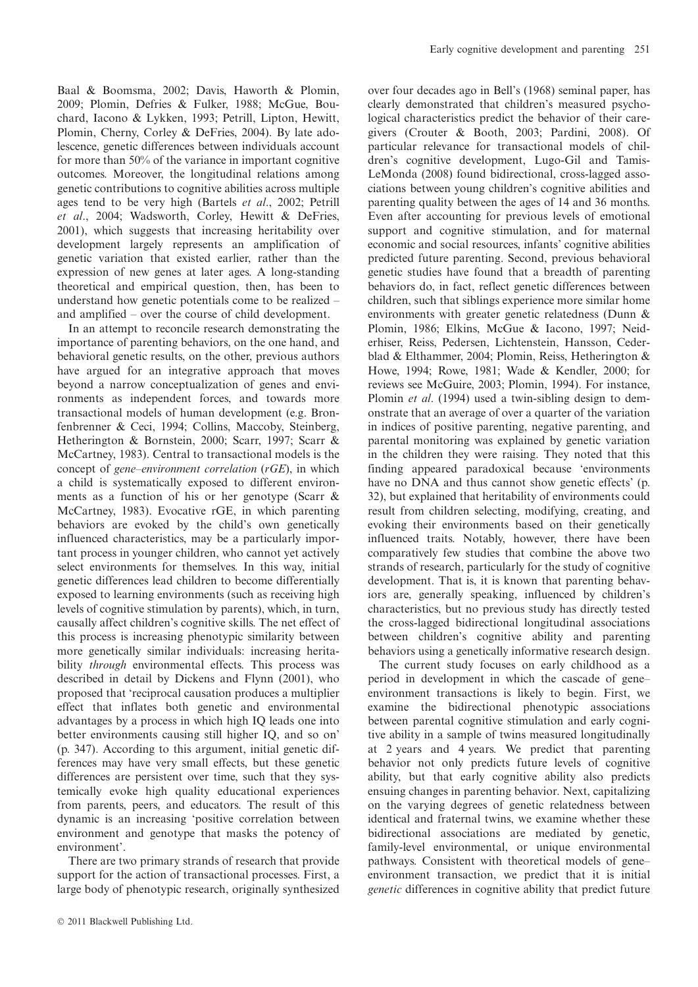Baal & Boomsma, 2002; Davis, Haworth & Plomin, 2009; Plomin, Defries & Fulker, 1988; McGue, Bouchard, Iacono & Lykken, 1993; Petrill, Lipton, Hewitt, Plomin, Cherny, Corley & DeFries, 2004). By late adolescence, genetic differences between individuals account for more than 50% of the variance in important cognitive outcomes. Moreover, the longitudinal relations among genetic contributions to cognitive abilities across multiple ages tend to be very high (Bartels et al., 2002; Petrill et al., 2004; Wadsworth, Corley, Hewitt & DeFries, 2001), which suggests that increasing heritability over development largely represents an amplification of genetic variation that existed earlier, rather than the expression of new genes at later ages. A long-standing theoretical and empirical question, then, has been to understand how genetic potentials come to be realized – and amplified – over the course of child development.

In an attempt to reconcile research demonstrating the importance of parenting behaviors, on the one hand, and behavioral genetic results, on the other, previous authors have argued for an integrative approach that moves beyond a narrow conceptualization of genes and environments as independent forces, and towards more transactional models of human development (e.g. Bronfenbrenner & Ceci, 1994; Collins, Maccoby, Steinberg, Hetherington & Bornstein, 2000; Scarr, 1997; Scarr & McCartney, 1983). Central to transactional models is the concept of gene–environment correlation (rGE), in which a child is systematically exposed to different environments as a function of his or her genotype (Scarr & McCartney, 1983). Evocative rGE, in which parenting behaviors are evoked by the child's own genetically influenced characteristics, may be a particularly important process in younger children, who cannot yet actively select environments for themselves. In this way, initial genetic differences lead children to become differentially exposed to learning environments (such as receiving high levels of cognitive stimulation by parents), which, in turn, causally affect children's cognitive skills. The net effect of this process is increasing phenotypic similarity between more genetically similar individuals: increasing heritability through environmental effects. This process was described in detail by Dickens and Flynn (2001), who proposed that 'reciprocal causation produces a multiplier effect that inflates both genetic and environmental advantages by a process in which high IQ leads one into better environments causing still higher IQ, and so on' (p. 347). According to this argument, initial genetic differences may have very small effects, but these genetic differences are persistent over time, such that they systemically evoke high quality educational experiences from parents, peers, and educators. The result of this dynamic is an increasing 'positive correlation between environment and genotype that masks the potency of environment'.

There are two primary strands of research that provide support for the action of transactional processes. First, a large body of phenotypic research, originally synthesized over four decades ago in Bell's (1968) seminal paper, has clearly demonstrated that children's measured psychological characteristics predict the behavior of their caregivers (Crouter & Booth, 2003; Pardini, 2008). Of particular relevance for transactional models of children's cognitive development, Lugo-Gil and Tamis-LeMonda (2008) found bidirectional, cross-lagged associations between young children's cognitive abilities and parenting quality between the ages of 14 and 36 months. Even after accounting for previous levels of emotional support and cognitive stimulation, and for maternal economic and social resources, infants' cognitive abilities predicted future parenting. Second, previous behavioral genetic studies have found that a breadth of parenting behaviors do, in fact, reflect genetic differences between children, such that siblings experience more similar home environments with greater genetic relatedness (Dunn & Plomin, 1986; Elkins, McGue & Iacono, 1997; Neiderhiser, Reiss, Pedersen, Lichtenstein, Hansson, Cederblad & Elthammer, 2004; Plomin, Reiss, Hetherington & Howe, 1994; Rowe, 1981; Wade & Kendler, 2000; for reviews see McGuire, 2003; Plomin, 1994). For instance, Plomin et al. (1994) used a twin-sibling design to demonstrate that an average of over a quarter of the variation in indices of positive parenting, negative parenting, and parental monitoring was explained by genetic variation in the children they were raising. They noted that this finding appeared paradoxical because 'environments have no DNA and thus cannot show genetic effects' (p. 32), but explained that heritability of environments could result from children selecting, modifying, creating, and evoking their environments based on their genetically influenced traits. Notably, however, there have been comparatively few studies that combine the above two strands of research, particularly for the study of cognitive development. That is, it is known that parenting behaviors are, generally speaking, influenced by children's characteristics, but no previous study has directly tested the cross-lagged bidirectional longitudinal associations between children's cognitive ability and parenting behaviors using a genetically informative research design.

The current study focuses on early childhood as a period in development in which the cascade of gene– environment transactions is likely to begin. First, we examine the bidirectional phenotypic associations between parental cognitive stimulation and early cognitive ability in a sample of twins measured longitudinally at 2 years and 4 years. We predict that parenting behavior not only predicts future levels of cognitive ability, but that early cognitive ability also predicts ensuing changes in parenting behavior. Next, capitalizing on the varying degrees of genetic relatedness between identical and fraternal twins, we examine whether these bidirectional associations are mediated by genetic, family-level environmental, or unique environmental pathways. Consistent with theoretical models of gene– environment transaction, we predict that it is initial genetic differences in cognitive ability that predict future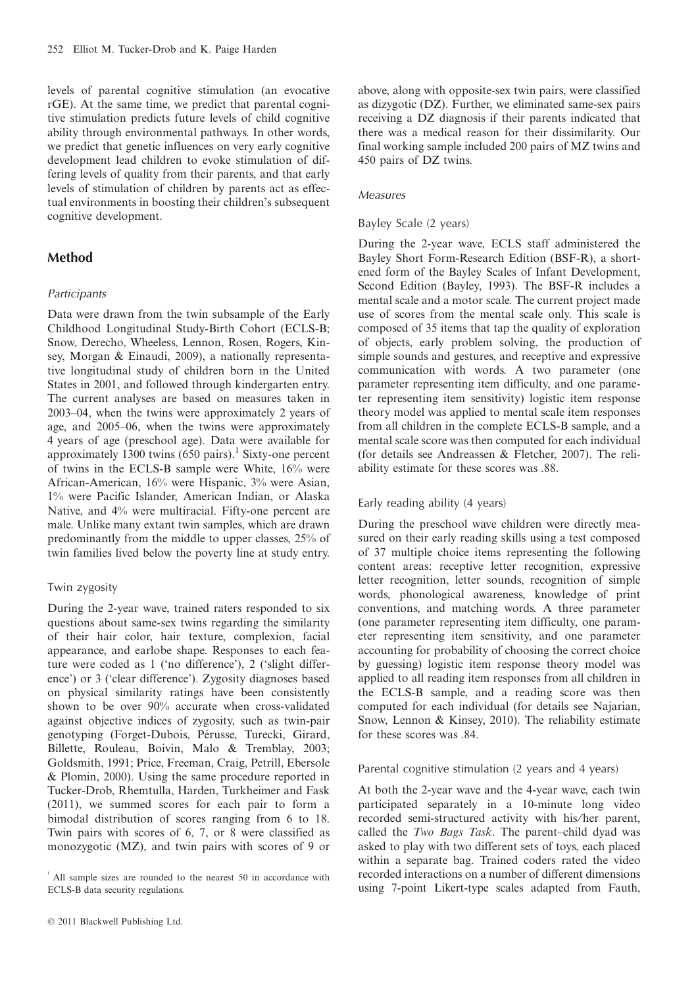levels of parental cognitive stimulation (an evocative rGE). At the same time, we predict that parental cognitive stimulation predicts future levels of child cognitive ability through environmental pathways. In other words, we predict that genetic influences on very early cognitive development lead children to evoke stimulation of differing levels of quality from their parents, and that early levels of stimulation of children by parents act as effectual environments in boosting their children's subsequent cognitive development.

## Method

#### Participants

Data were drawn from the twin subsample of the Early Childhood Longitudinal Study-Birth Cohort (ECLS-B; Snow, Derecho, Wheeless, Lennon, Rosen, Rogers, Kinsey, Morgan & Einaudi, 2009), a nationally representative longitudinal study of children born in the United States in 2001, and followed through kindergarten entry. The current analyses are based on measures taken in 2003–04, when the twins were approximately 2 years of age, and 2005–06, when the twins were approximately 4 years of age (preschool age). Data were available for approximately  $1300$  twins  $(650 \text{ pairs})$ .<sup>1</sup> Sixty-one percent of twins in the ECLS-B sample were White,  $16\%$  were African-American, 16% were Hispanic, 3% were Asian, 1% were Pacific Islander, American Indian, or Alaska Native, and 4% were multiracial. Fifty-one percent are male. Unlike many extant twin samples, which are drawn predominantly from the middle to upper classes, 25% of twin families lived below the poverty line at study entry.

#### Twin zygosity

During the 2-year wave, trained raters responded to six questions about same-sex twins regarding the similarity of their hair color, hair texture, complexion, facial appearance, and earlobe shape. Responses to each feature were coded as 1 ('no difference'), 2 ('slight difference') or 3 ('clear difference'). Zygosity diagnoses based on physical similarity ratings have been consistently shown to be over 90% accurate when cross-validated against objective indices of zygosity, such as twin-pair genotyping (Forget-Dubois, Pérusse, Turecki, Girard, Billette, Rouleau, Boivin, Malo & Tremblay, 2003; Goldsmith, 1991; Price, Freeman, Craig, Petrill, Ebersole & Plomin, 2000). Using the same procedure reported in Tucker-Drob, Rhemtulla, Harden, Turkheimer and Fask (2011), we summed scores for each pair to form a bimodal distribution of scores ranging from 6 to 18. Twin pairs with scores of 6, 7, or 8 were classified as monozygotic (MZ), and twin pairs with scores of 9 or above, along with opposite-sex twin pairs, were classified as dizygotic (DZ). Further, we eliminated same-sex pairs receiving a DZ diagnosis if their parents indicated that there was a medical reason for their dissimilarity. Our final working sample included 200 pairs of MZ twins and 450 pairs of DZ twins.

#### Measures

#### Bayley Scale (2 years)

During the 2-year wave, ECLS staff administered the Bayley Short Form-Research Edition (BSF-R), a shortened form of the Bayley Scales of Infant Development, Second Edition (Bayley, 1993). The BSF-R includes a mental scale and a motor scale. The current project made use of scores from the mental scale only. This scale is composed of 35 items that tap the quality of exploration of objects, early problem solving, the production of simple sounds and gestures, and receptive and expressive communication with words. A two parameter (one parameter representing item difficulty, and one parameter representing item sensitivity) logistic item response theory model was applied to mental scale item responses from all children in the complete ECLS-B sample, and a mental scale score was then computed for each individual (for details see Andreassen & Fletcher, 2007). The reliability estimate for these scores was .88.

#### Early reading ability (4 years)

During the preschool wave children were directly measured on their early reading skills using a test composed of 37 multiple choice items representing the following content areas: receptive letter recognition, expressive letter recognition, letter sounds, recognition of simple words, phonological awareness, knowledge of print conventions, and matching words. A three parameter (one parameter representing item difficulty, one parameter representing item sensitivity, and one parameter accounting for probability of choosing the correct choice by guessing) logistic item response theory model was applied to all reading item responses from all children in the ECLS-B sample, and a reading score was then computed for each individual (for details see Najarian, Snow, Lennon & Kinsey, 2010). The reliability estimate for these scores was .84.

#### Parental cognitive stimulation (2 years and 4 years)

At both the 2-year wave and the 4-year wave, each twin participated separately in a 10-minute long video recorded semi-structured activity with his/her parent, called the Two Bags Task. The parent–child dyad was asked to play with two different sets of toys, each placed within a separate bag. Trained coders rated the video recorded interactions on a number of different dimensions using 7-point Likert-type scales adapted from Fauth,

<sup>1</sup> All sample sizes are rounded to the nearest 50 in accordance with ECLS-B data security regulations.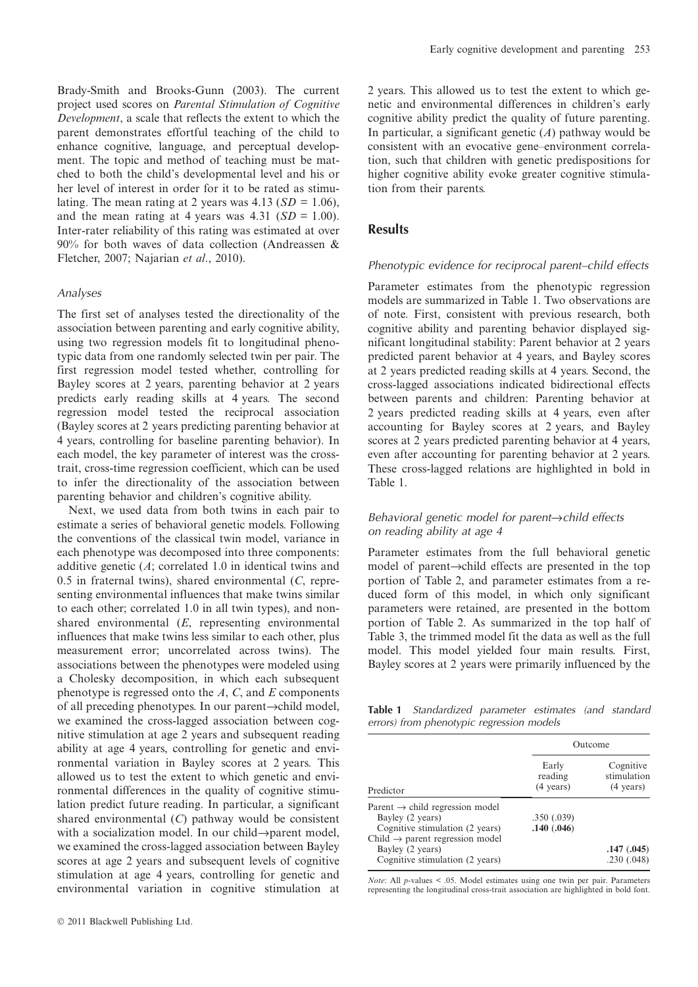Brady-Smith and Brooks-Gunn (2003). The current project used scores on Parental Stimulation of Cognitive Development, a scale that reflects the extent to which the parent demonstrates effortful teaching of the child to enhance cognitive, language, and perceptual development. The topic and method of teaching must be matched to both the child's developmental level and his or her level of interest in order for it to be rated as stimulating. The mean rating at 2 years was  $4.13$  (SD = 1.06), and the mean rating at 4 years was  $4.31$  ( $SD = 1.00$ ). Inter-rater reliability of this rating was estimated at over 90% for both waves of data collection (Andreassen & Fletcher, 2007; Najarian et al., 2010).

#### Analyses

The first set of analyses tested the directionality of the association between parenting and early cognitive ability, using two regression models fit to longitudinal phenotypic data from one randomly selected twin per pair. The first regression model tested whether, controlling for Bayley scores at 2 years, parenting behavior at 2 years predicts early reading skills at 4 years. The second regression model tested the reciprocal association (Bayley scores at 2 years predicting parenting behavior at 4 years, controlling for baseline parenting behavior). In each model, the key parameter of interest was the crosstrait, cross-time regression coefficient, which can be used to infer the directionality of the association between parenting behavior and children's cognitive ability.

Next, we used data from both twins in each pair to estimate a series of behavioral genetic models. Following the conventions of the classical twin model, variance in each phenotype was decomposed into three components: additive genetic (A; correlated 1.0 in identical twins and 0.5 in fraternal twins), shared environmental (C, representing environmental influences that make twins similar to each other; correlated 1.0 in all twin types), and nonshared environmental (E, representing environmental influences that make twins less similar to each other, plus measurement error; uncorrelated across twins). The associations between the phenotypes were modeled using a Cholesky decomposition, in which each subsequent phenotype is regressed onto the  $A$ ,  $C$ , and  $E$  components of all preceding phenotypes. In our parent $\rightarrow$ child model, we examined the cross-lagged association between cognitive stimulation at age 2 years and subsequent reading ability at age 4 years, controlling for genetic and environmental variation in Bayley scores at 2 years. This allowed us to test the extent to which genetic and environmental differences in the quality of cognitive stimulation predict future reading. In particular, a significant shared environmental (C) pathway would be consistent with a socialization model. In our child $\rightarrow$ parent model, we examined the cross-lagged association between Bayley scores at age 2 years and subsequent levels of cognitive stimulation at age 4 years, controlling for genetic and environmental variation in cognitive stimulation at 2 years. This allowed us to test the extent to which genetic and environmental differences in children's early cognitive ability predict the quality of future parenting. In particular, a significant genetic  $(A)$  pathway would be consistent with an evocative gene–environment correlation, such that children with genetic predispositions for higher cognitive ability evoke greater cognitive stimulation from their parents.

### **Results**

#### Phenotypic evidence for reciprocal parent–child effects

Parameter estimates from the phenotypic regression models are summarized in Table 1. Two observations are of note. First, consistent with previous research, both cognitive ability and parenting behavior displayed significant longitudinal stability: Parent behavior at 2 years predicted parent behavior at 4 years, and Bayley scores at 2 years predicted reading skills at 4 years. Second, the cross-lagged associations indicated bidirectional effects between parents and children: Parenting behavior at 2 years predicted reading skills at 4 years, even after accounting for Bayley scores at 2 years, and Bayley scores at 2 years predicted parenting behavior at 4 years, even after accounting for parenting behavior at 2 years. These cross-lagged relations are highlighted in bold in Table 1.

#### Behavioral genetic model for parent $\rightarrow$ child effects on reading ability at age 4

Parameter estimates from the full behavioral genetic model of parent $\rightarrow$ child effects are presented in the top portion of Table 2, and parameter estimates from a reduced form of this model, in which only significant parameters were retained, are presented in the bottom portion of Table 2. As summarized in the top half of Table 3, the trimmed model fit the data as well as the full model. This model yielded four main results. First, Bayley scores at 2 years were primarily influenced by the

Table 1 Standardized parameter estimates (and standard errors) from phenotypic regression models

|                                                     | Outcome                                 |                                                 |  |  |  |
|-----------------------------------------------------|-----------------------------------------|-------------------------------------------------|--|--|--|
| Predictor                                           | Early<br>reading<br>$(4 \text{ years})$ | Cognitive<br>stimulation<br>$(4 \text{ years})$ |  |  |  |
| Parent $\rightarrow$ child regression model         | .350(.039)                              |                                                 |  |  |  |
| Bayley (2 years)<br>Cognitive stimulation (2 years) | .140(.046)                              |                                                 |  |  |  |
| Child $\rightarrow$ parent regression model         |                                         |                                                 |  |  |  |
| Bayley (2 years)                                    |                                         | .147(.045)                                      |  |  |  |
| Cognitive stimulation (2 years)                     |                                         | .230(.048)                                      |  |  |  |

Note: All p-values < .05. Model estimates using one twin per pair. Parameters representing the longitudinal cross-trait association are highlighted in bold font.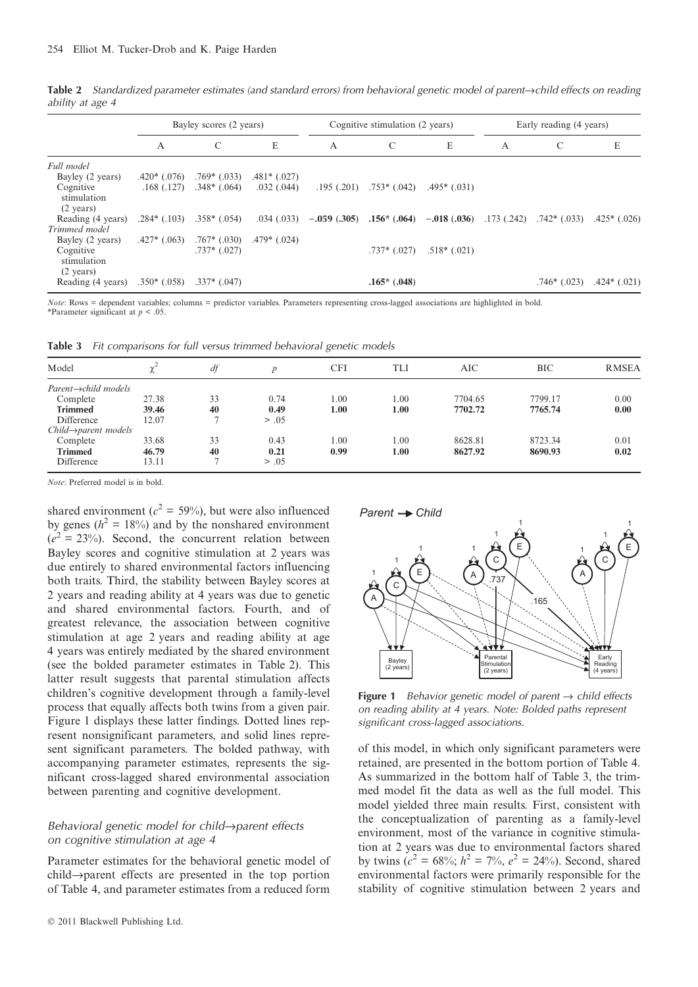|                     | Bayley scores (2 years) |                |                 | Cognitive stimulation (2 years) |                  |               | Early reading (4 years) |               |               |
|---------------------|-------------------------|----------------|-----------------|---------------------------------|------------------|---------------|-------------------------|---------------|---------------|
|                     | A                       | C              | E               | A                               | C                | E             | $\mathbf{A}$            | C             | E             |
| Full model          |                         |                |                 |                                 |                  |               |                         |               |               |
| Bayley (2 years)    | $.420*(.076)$           | $.769*(.033)$  | $.481*(.027)$   |                                 |                  |               |                         |               |               |
| Cognitive           | .168(.127)              | $.348*(.064)$  | $.032$ $(.044)$ | .195(.201)                      | $.753*(.042)$    | $.495*(.031)$ |                         |               |               |
| stimulation         |                         |                |                 |                                 |                  |               |                         |               |               |
| $(2 \text{ years})$ |                         |                |                 |                                 |                  |               |                         |               |               |
| Reading (4 years)   | $.284*$ $(.103)$        | $.358*(.054)$  | .034(.033)      | $-.059(.305)$                   | $.156*(.064)$    | $-.018(.036)$ | .173(.242)              | $.742*(.033)$ | $.425*(.026)$ |
| Trimmed model       |                         |                |                 |                                 |                  |               |                         |               |               |
| Bayley (2 years)    | $.427*(.063)$           | $.767*$ (.030) | $.479*(.024)$   |                                 |                  |               |                         |               |               |
| Cognitive           |                         | $.737*(.027)$  |                 |                                 | $.737*(.027)$    | $.518*(.021)$ |                         |               |               |
| stimulation         |                         |                |                 |                                 |                  |               |                         |               |               |
| $(2 \text{ years})$ |                         |                |                 |                                 |                  |               |                         |               |               |
| Reading (4 years)   | $.350*(.058)$           | $.337*$ (.047) |                 |                                 | $.165*$ $(.048)$ |               |                         | $.746*(.023)$ | $.424*(.021)$ |

Table 2 Standardized parameter estimates (and standard errors) from behavioral genetic model of parent->child effects on reading ability at age 4

Note: Rows = dependent variables; columns = predictor variables. Parameters representing cross-lagged associations are highlighted in bold. \*Parameter significant at  $p < .05$ .

Table 3 Fit comparisons for full versus trimmed behavioral genetic models

| Model                              |       | df |       | CFI  | TLI  | AIC     | BIC     | <b>RMSEA</b> |
|------------------------------------|-------|----|-------|------|------|---------|---------|--------------|
| $Parent{\rightarrow}child\ models$ |       |    |       |      |      |         |         |              |
| Complete                           | 27.38 | 33 | 0.74  | 1.00 | 1.00 | 7704.65 | 7799.17 | 0.00         |
| <b>Trimmed</b>                     | 39.46 | 40 | 0.49  | 1.00 | 1.00 | 7702.72 | 7765.74 | 0.00         |
| Difference                         | 12.07 |    | > .05 |      |      |         |         |              |
| $Child \rightarrow parent$ models  |       |    |       |      |      |         |         |              |
| Complete                           | 33.68 | 33 | 0.43  | 1.00 | 1.00 | 8628.81 | 8723.34 | 0.01         |
| <b>Trimmed</b>                     | 46.79 | 40 | 0.21  | 0.99 | 1.00 | 8627.92 | 8690.93 | 0.02         |
| Difference                         | 13.11 |    | > .05 |      |      |         |         |              |
|                                    |       |    |       |      |      |         |         |              |

*Parent Child*

Note: Preferred model is in bold.

shared environment ( $c^2 = 59\%$ ), but were also influenced by genes ( $h^2 = 18\%$ ) and by the nonshared environment  $(e^{2} = 23\%)$ . Second, the concurrent relation between Bayley scores and cognitive stimulation at 2 years was due entirely to shared environmental factors influencing both traits. Third, the stability between Bayley scores at 2 years and reading ability at 4 years was due to genetic and shared environmental factors. Fourth, and of greatest relevance, the association between cognitive stimulation at age 2 years and reading ability at age 4 years was entirely mediated by the shared environment (see the bolded parameter estimates in Table 2). This latter result suggests that parental stimulation affects children's cognitive development through a family-level process that equally affects both twins from a given pair. Figure 1 displays these latter findings. Dotted lines represent nonsignificant parameters, and solid lines represent significant parameters. The bolded pathway, with accompanying parameter estimates, represents the significant cross-lagged shared environmental association between parenting and cognitive development.

### Behavioral genetic model for child $\rightarrow$ parent effects on cognitive stimulation at age 4

Parameter estimates for the behavioral genetic model of  $child \rightarrow$  parent effects are presented in the top portion of Table 4, and parameter estimates from a reduced form

Bayley (2 years) Ea Reading (4 years) A C 1 1 E 1 A C 1 1 E 1 Parental Stimulation (2 years) A C 1 1 E 1 .737 .165

Figure 1 Behavior genetic model of parent  $\rightarrow$  child effects on reading ability at 4 years. Note: Bolded paths represent significant cross-lagged associations.

of this model, in which only significant parameters were retained, are presented in the bottom portion of Table 4. As summarized in the bottom half of Table 3, the trimmed model fit the data as well as the full model. This model yielded three main results. First, consistent with the conceptualization of parenting as a family-level environment, most of the variance in cognitive stimulation at 2 years was due to environmental factors shared by twins  $(c^2 = 68\%; h^2 = 7\%; e^2 = 24\%).$  Second, shared environmental factors were primarily responsible for the stability of cognitive stimulation between 2 years and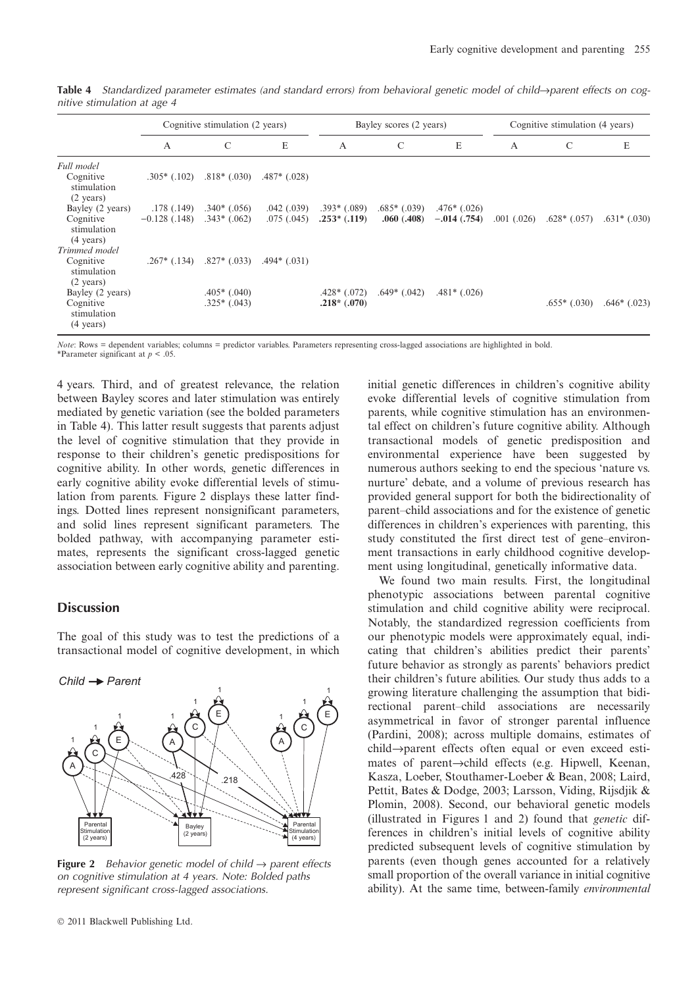|                                                                     | Cognitive stimulation (2 years) |                                 |                  | Bayley scores (2 years)        |               |               | Cognitive stimulation (4 years) |               |               |
|---------------------------------------------------------------------|---------------------------------|---------------------------------|------------------|--------------------------------|---------------|---------------|---------------------------------|---------------|---------------|
|                                                                     | A                               | C                               | E                | A                              | C             | E             | A                               | C             | E             |
| Full model                                                          |                                 |                                 |                  |                                |               |               |                                 |               |               |
| Cognitive<br>stimulation<br>$(2 \text{ years})$                     | $.305*$ (.102)                  | $.818*(.030)$                   | $.487*$ $(.028)$ |                                |               |               |                                 |               |               |
| Bayley (2 years)                                                    | .178(0.149)                     | $.340*(.056)$                   | .042(.039)       | $.393*$ $(.089)$               | $.685*(.039)$ | $.476*(.026)$ |                                 |               |               |
| Cognitive<br>stimulation<br>$(4 \text{ years})$                     | $-0.128$ (.148)                 | $.343*(.062)$                   | .075(.045)       | $.253*(.119)$                  | .060(.408)    | $-.014(.754)$ | $.001$ $(.026)$                 | $.628*(.057)$ | $.631*(.030)$ |
| Trimmed model                                                       |                                 |                                 |                  |                                |               |               |                                 |               |               |
| Cognitive<br>stimulation<br>$(2 \text{ years})$                     | $.267*$ (.134)                  | $.827*(.033)$                   | $.494*(.031)$    |                                |               |               |                                 |               |               |
| Bayley (2 years)<br>Cognitive<br>stimulation<br>$(4 \text{ years})$ |                                 | $.405*$ (.040)<br>$.325*(.043)$ |                  | $.428*(.072)$<br>$.218*(.070)$ | $.649*(.042)$ | $.481*(.026)$ |                                 | $.655*(.030)$ | $.646*(.023)$ |

Table 4 Standardized parameter estimates (and standard errors) from behavioral genetic model of child- $\rightarrow$ parent effects on cognitive stimulation at age 4

Note: Rows = dependent variables; columns = predictor variables. Parameters representing cross-lagged associations are highlighted in bold.

\*Parameter significant at  $p < .05$ .

4 years. Third, and of greatest relevance, the relation between Bayley scores and later stimulation was entirely mediated by genetic variation (see the bolded parameters in Table 4). This latter result suggests that parents adjust the level of cognitive stimulation that they provide in response to their children's genetic predispositions for cognitive ability. In other words, genetic differences in early cognitive ability evoke differential levels of stimulation from parents. Figure 2 displays these latter findings. Dotted lines represent nonsignificant parameters, and solid lines represent significant parameters. The bolded pathway, with accompanying parameter estimates, represents the significant cross-lagged genetic association between early cognitive ability and parenting.

## **Discussion**

The goal of this study was to test the predictions of a transactional model of cognitive development, in which



**Figure 2** Behavior genetic model of child  $\rightarrow$  parent effects on cognitive stimulation at 4 years. Note: Bolded paths represent significant cross-lagged associations.

initial genetic differences in children's cognitive ability evoke differential levels of cognitive stimulation from parents, while cognitive stimulation has an environmental effect on children's future cognitive ability. Although transactional models of genetic predisposition and environmental experience have been suggested by numerous authors seeking to end the specious 'nature vs. nurture' debate, and a volume of previous research has provided general support for both the bidirectionality of parent–child associations and for the existence of genetic differences in children's experiences with parenting, this study constituted the first direct test of gene–environment transactions in early childhood cognitive development using longitudinal, genetically informative data.

We found two main results. First, the longitudinal phenotypic associations between parental cognitive stimulation and child cognitive ability were reciprocal. Notably, the standardized regression coefficients from our phenotypic models were approximately equal, indicating that children's abilities predict their parents' future behavior as strongly as parents' behaviors predict their children's future abilities. Our study thus adds to a growing literature challenging the assumption that bidirectional parent–child associations are necessarily asymmetrical in favor of stronger parental influence (Pardini, 2008); across multiple domains, estimates of child->parent effects often equal or even exceed estimates of parent $\rightarrow$ child effects (e.g. Hipwell, Keenan, Kasza, Loeber, Stouthamer-Loeber & Bean, 2008; Laird, Pettit, Bates & Dodge, 2003; Larsson, Viding, Rijsdjik & Plomin, 2008). Second, our behavioral genetic models (illustrated in Figures 1 and 2) found that genetic differences in children's initial levels of cognitive ability predicted subsequent levels of cognitive stimulation by parents (even though genes accounted for a relatively small proportion of the overall variance in initial cognitive ability). At the same time, between-family environmental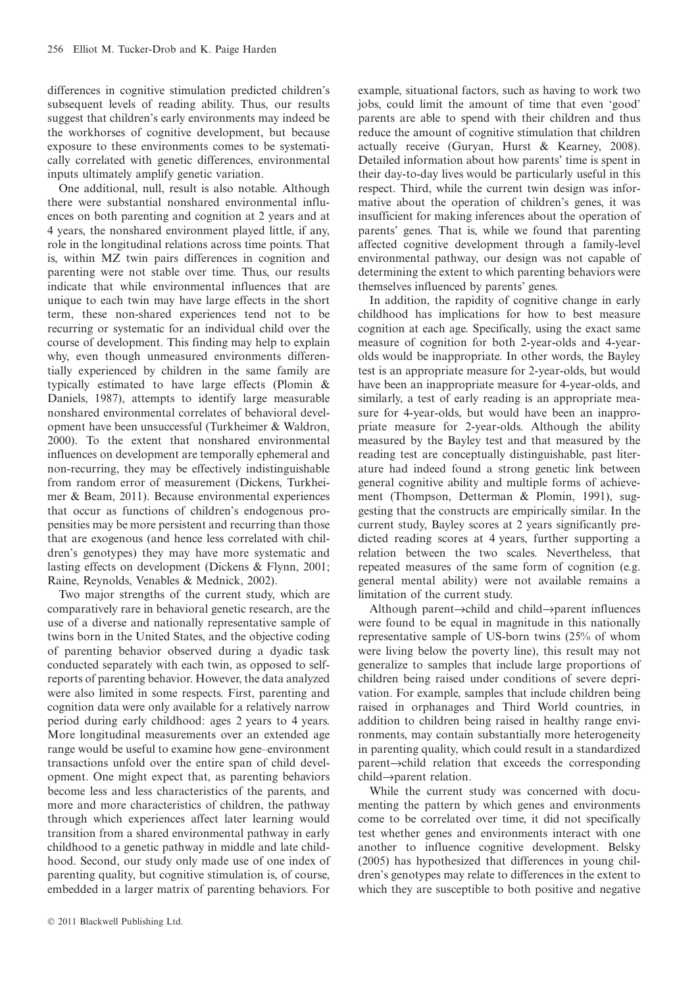differences in cognitive stimulation predicted children's subsequent levels of reading ability. Thus, our results suggest that children's early environments may indeed be the workhorses of cognitive development, but because exposure to these environments comes to be systematically correlated with genetic differences, environmental inputs ultimately amplify genetic variation.

One additional, null, result is also notable. Although there were substantial nonshared environmental influences on both parenting and cognition at 2 years and at 4 years, the nonshared environment played little, if any, role in the longitudinal relations across time points. That is, within MZ twin pairs differences in cognition and parenting were not stable over time. Thus, our results indicate that while environmental influences that are unique to each twin may have large effects in the short term, these non-shared experiences tend not to be recurring or systematic for an individual child over the course of development. This finding may help to explain why, even though unmeasured environments differentially experienced by children in the same family are typically estimated to have large effects (Plomin & Daniels, 1987), attempts to identify large measurable nonshared environmental correlates of behavioral development have been unsuccessful (Turkheimer & Waldron, 2000). To the extent that nonshared environmental influences on development are temporally ephemeral and non-recurring, they may be effectively indistinguishable from random error of measurement (Dickens, Turkheimer & Beam, 2011). Because environmental experiences that occur as functions of children's endogenous propensities may be more persistent and recurring than those that are exogenous (and hence less correlated with children's genotypes) they may have more systematic and lasting effects on development (Dickens & Flynn, 2001; Raine, Reynolds, Venables & Mednick, 2002).

Two major strengths of the current study, which are comparatively rare in behavioral genetic research, are the use of a diverse and nationally representative sample of twins born in the United States, and the objective coding of parenting behavior observed during a dyadic task conducted separately with each twin, as opposed to selfreports of parenting behavior. However, the data analyzed were also limited in some respects. First, parenting and cognition data were only available for a relatively narrow period during early childhood: ages 2 years to 4 years. More longitudinal measurements over an extended age range would be useful to examine how gene–environment transactions unfold over the entire span of child development. One might expect that, as parenting behaviors become less and less characteristics of the parents, and more and more characteristics of children, the pathway through which experiences affect later learning would transition from a shared environmental pathway in early childhood to a genetic pathway in middle and late childhood. Second, our study only made use of one index of parenting quality, but cognitive stimulation is, of course, embedded in a larger matrix of parenting behaviors. For

example, situational factors, such as having to work two jobs, could limit the amount of time that even 'good' parents are able to spend with their children and thus reduce the amount of cognitive stimulation that children actually receive (Guryan, Hurst & Kearney, 2008). Detailed information about how parents' time is spent in their day-to-day lives would be particularly useful in this respect. Third, while the current twin design was informative about the operation of children's genes, it was insufficient for making inferences about the operation of parents' genes. That is, while we found that parenting affected cognitive development through a family-level environmental pathway, our design was not capable of determining the extent to which parenting behaviors were themselves influenced by parents' genes.

In addition, the rapidity of cognitive change in early childhood has implications for how to best measure cognition at each age. Specifically, using the exact same measure of cognition for both 2-year-olds and 4-yearolds would be inappropriate. In other words, the Bayley test is an appropriate measure for 2-year-olds, but would have been an inappropriate measure for 4-year-olds, and similarly, a test of early reading is an appropriate measure for 4-year-olds, but would have been an inappropriate measure for 2-year-olds. Although the ability measured by the Bayley test and that measured by the reading test are conceptually distinguishable, past literature had indeed found a strong genetic link between general cognitive ability and multiple forms of achievement (Thompson, Detterman & Plomin, 1991), suggesting that the constructs are empirically similar. In the current study, Bayley scores at 2 years significantly predicted reading scores at 4 years, further supporting a relation between the two scales. Nevertheless, that repeated measures of the same form of cognition (e.g. general mental ability) were not available remains a limitation of the current study.

Although parent $\rightarrow$ child and child $\rightarrow$ parent influences were found to be equal in magnitude in this nationally representative sample of US-born twins (25% of whom were living below the poverty line), this result may not generalize to samples that include large proportions of children being raised under conditions of severe deprivation. For example, samples that include children being raised in orphanages and Third World countries, in addition to children being raised in healthy range environments, may contain substantially more heterogeneity in parenting quality, which could result in a standardized parent $\rightarrow$ child relation that exceeds the corresponding  $child \rightarrow parent$  relation.

While the current study was concerned with documenting the pattern by which genes and environments come to be correlated over time, it did not specifically test whether genes and environments interact with one another to influence cognitive development. Belsky (2005) has hypothesized that differences in young children's genotypes may relate to differences in the extent to which they are susceptible to both positive and negative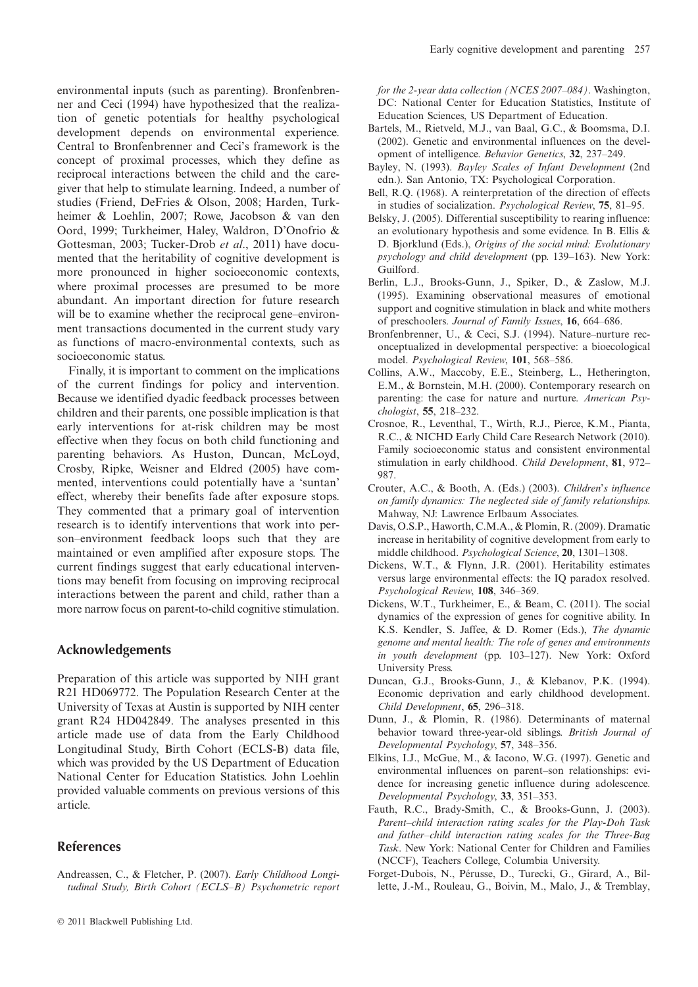environmental inputs (such as parenting). Bronfenbrenner and Ceci (1994) have hypothesized that the realization of genetic potentials for healthy psychological development depends on environmental experience. Central to Bronfenbrenner and Ceci's framework is the concept of proximal processes, which they define as reciprocal interactions between the child and the caregiver that help to stimulate learning. Indeed, a number of studies (Friend, DeFries & Olson, 2008; Harden, Turkheimer & Loehlin, 2007; Rowe, Jacobson & van den Oord, 1999; Turkheimer, Haley, Waldron, D'Onofrio & Gottesman, 2003; Tucker-Drob et al., 2011) have documented that the heritability of cognitive development is more pronounced in higher socioeconomic contexts, where proximal processes are presumed to be more abundant. An important direction for future research will be to examine whether the reciprocal gene–environment transactions documented in the current study vary as functions of macro-environmental contexts, such as socioeconomic status.

Finally, it is important to comment on the implications of the current findings for policy and intervention. Because we identified dyadic feedback processes between children and their parents, one possible implication is that early interventions for at-risk children may be most effective when they focus on both child functioning and parenting behaviors. As Huston, Duncan, McLoyd, Crosby, Ripke, Weisner and Eldred (2005) have commented, interventions could potentially have a 'suntan' effect, whereby their benefits fade after exposure stops. They commented that a primary goal of intervention research is to identify interventions that work into person–environment feedback loops such that they are maintained or even amplified after exposure stops. The current findings suggest that early educational interventions may benefit from focusing on improving reciprocal interactions between the parent and child, rather than a more narrow focus on parent-to-child cognitive stimulation.

## Acknowledgements

Preparation of this article was supported by NIH grant R21 HD069772. The Population Research Center at the University of Texas at Austin is supported by NIH center grant R24 HD042849. The analyses presented in this article made use of data from the Early Childhood Longitudinal Study, Birth Cohort (ECLS-B) data file, which was provided by the US Department of Education National Center for Education Statistics. John Loehlin provided valuable comments on previous versions of this article.

## References

for the 2-year data collection (NCES 2007–084). Washington, DC: National Center for Education Statistics, Institute of Education Sciences, US Department of Education.

- Bartels, M., Rietveld, M.J., van Baal, G.C., & Boomsma, D.I. (2002). Genetic and environmental influences on the development of intelligence. Behavior Genetics, 32, 237–249.
- Bayley, N. (1993). Bayley Scales of Infant Development (2nd edn.). San Antonio, TX: Psychological Corporation.
- Bell, R.Q. (1968). A reinterpretation of the direction of effects in studies of socialization. Psychological Review, 75, 81–95.
- Belsky, J. (2005). Differential susceptibility to rearing influence: an evolutionary hypothesis and some evidence. In B. Ellis & D. Bjorklund (Eds.), Origins of the social mind: Evolutionary psychology and child development (pp. 139–163). New York: Guilford.
- Berlin, L.J., Brooks-Gunn, J., Spiker, D., & Zaslow, M.J. (1995). Examining observational measures of emotional support and cognitive stimulation in black and white mothers of preschoolers. Journal of Family Issues, 16, 664–686.
- Bronfenbrenner, U., & Ceci, S.J. (1994). Nature–nurture reconceptualized in developmental perspective: a bioecological model. Psychological Review, 101, 568–586.
- Collins, A.W., Maccoby, E.E., Steinberg, L., Hetherington, E.M., & Bornstein, M.H. (2000). Contemporary research on parenting: the case for nature and nurture. American Psychologist, 55, 218–232.
- Crosnoe, R., Leventhal, T., Wirth, R.J., Pierce, K.M., Pianta, R.C., & NICHD Early Child Care Research Network (2010). Family socioeconomic status and consistent environmental stimulation in early childhood. Child Development, 81, 972– 987.
- Crouter, A.C., & Booth, A. (Eds.) (2003). Children's influence on family dynamics: The neglected side of family relationships. Mahway, NJ: Lawrence Erlbaum Associates.
- Davis, O.S.P., Haworth, C.M.A., & Plomin, R. (2009). Dramatic increase in heritability of cognitive development from early to middle childhood. Psychological Science, 20, 1301–1308.
- Dickens, W.T., & Flynn, J.R. (2001). Heritability estimates versus large environmental effects: the IQ paradox resolved. Psychological Review, 108, 346–369.
- Dickens, W.T., Turkheimer, E., & Beam, C. (2011). The social dynamics of the expression of genes for cognitive ability. In K.S. Kendler, S. Jaffee, & D. Romer (Eds.), The dynamic genome and mental health: The role of genes and environments in youth development (pp. 103–127). New York: Oxford University Press.
- Duncan, G.J., Brooks-Gunn, J., & Klebanov, P.K. (1994). Economic deprivation and early childhood development. Child Development, 65, 296–318.
- Dunn, J., & Plomin, R. (1986). Determinants of maternal behavior toward three-year-old siblings. British Journal of Developmental Psychology, 57, 348–356.
- Elkins, I.J., McGue, M., & Iacono, W.G. (1997). Genetic and environmental influences on parent–son relationships: evidence for increasing genetic influence during adolescence. Developmental Psychology, 33, 351–353.
- Fauth, R.C., Brady-Smith, C., & Brooks-Gunn, J. (2003). Parent–child interaction rating scales for the Play-Doh Task and father–child interaction rating scales for the Three-Bag Task. New York: National Center for Children and Families (NCCF), Teachers College, Columbia University.
- Forget-Dubois, N., Pérusse, D., Turecki, G., Girard, A., Billette, J.-M., Rouleau, G., Boivin, M., Malo, J., & Tremblay,
- Andreassen, C., & Fletcher, P. (2007). Early Childhood Longitudinal Study, Birth Cohort (ECLS–B) Psychometric report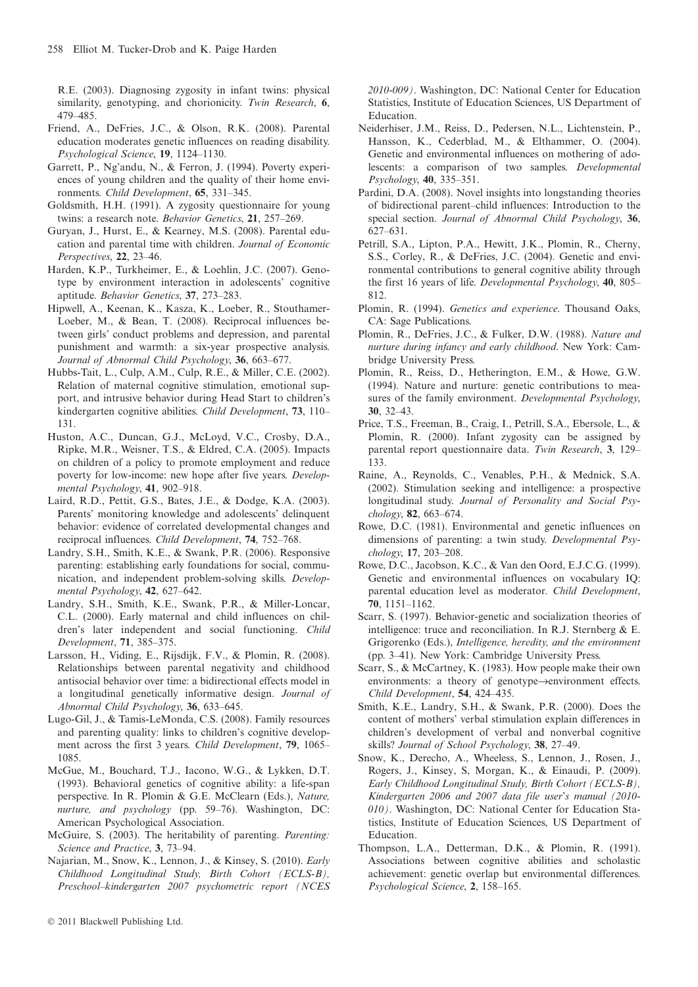R.E. (2003). Diagnosing zygosity in infant twins: physical similarity, genotyping, and chorionicity. Twin Research, 6, 479–485.

- Friend, A., DeFries, J.C., & Olson, R.K. (2008). Parental education moderates genetic influences on reading disability. Psychological Science, 19, 1124–1130.
- Garrett, P., Ng'andu, N., & Ferron, J. (1994). Poverty experiences of young children and the quality of their home environments. Child Development, 65, 331–345.
- Goldsmith, H.H. (1991). A zygosity questionnaire for young twins: a research note. Behavior Genetics, 21, 257–269.
- Guryan, J., Hurst, E., & Kearney, M.S. (2008). Parental education and parental time with children. Journal of Economic Perspectives, 22, 23–46.
- Harden, K.P., Turkheimer, E., & Loehlin, J.C. (2007). Genotype by environment interaction in adolescents' cognitive aptitude. Behavior Genetics, 37, 273–283.
- Hipwell, A., Keenan, K., Kasza, K., Loeber, R., Stouthamer-Loeber, M., & Bean, T. (2008). Reciprocal influences between girls' conduct problems and depression, and parental punishment and warmth: a six-year prospective analysis. Journal of Abnormal Child Psychology, 36, 663–677.
- Hubbs-Tait, L., Culp, A.M., Culp, R.E., & Miller, C.E. (2002). Relation of maternal cognitive stimulation, emotional support, and intrusive behavior during Head Start to children's kindergarten cognitive abilities. Child Development, 73, 110– 131.
- Huston, A.C., Duncan, G.J., McLoyd, V.C., Crosby, D.A., Ripke, M.R., Weisner, T.S., & Eldred, C.A. (2005). Impacts on children of a policy to promote employment and reduce poverty for low-income: new hope after five years. Developmental Psychology, 41, 902–918.
- Laird, R.D., Pettit, G.S., Bates, J.E., & Dodge, K.A. (2003). Parents' monitoring knowledge and adolescents' delinquent behavior: evidence of correlated developmental changes and reciprocal influences. Child Development, 74, 752–768.
- Landry, S.H., Smith, K.E., & Swank, P.R. (2006). Responsive parenting: establishing early foundations for social, communication, and independent problem-solving skills. Developmental Psychology, 42, 627–642.
- Landry, S.H., Smith, K.E., Swank, P.R., & Miller-Loncar, C.L. (2000). Early maternal and child influences on children's later independent and social functioning. Child Development, 71, 385–375.
- Larsson, H., Viding, E., Rijsdijk, F.V., & Plomin, R. (2008). Relationships between parental negativity and childhood antisocial behavior over time: a bidirectional effects model in a longitudinal genetically informative design. Journal of Abnormal Child Psychology, 36, 633–645.
- Lugo-Gil, J., & Tamis-LeMonda, C.S. (2008). Family resources and parenting quality: links to children's cognitive development across the first 3 years. Child Development, 79, 1065– 1085.
- McGue, M., Bouchard, T.J., Iacono, W.G., & Lykken, D.T. (1993). Behavioral genetics of cognitive ability: a life-span perspective. In R. Plomin & G.E. McClearn (Eds.), Nature, nurture, and psychology (pp. 59–76). Washington, DC: American Psychological Association.
- McGuire, S. (2003). The heritability of parenting. Parenting: Science and Practice, 3, 73–94.
- Najarian, M., Snow, K., Lennon, J., & Kinsey, S. (2010). Early Childhood Longitudinal Study, Birth Cohort (ECLS-B), Preschool–kindergarten 2007 psychometric report (NCES

2010-009). Washington, DC: National Center for Education Statistics, Institute of Education Sciences, US Department of Education.

- Neiderhiser, J.M., Reiss, D., Pedersen, N.L., Lichtenstein, P., Hansson, K., Cederblad, M., & Elthammer, O. (2004). Genetic and environmental influences on mothering of adolescents: a comparison of two samples. Developmental Psychology, 40, 335–351.
- Pardini, D.A. (2008). Novel insights into longstanding theories of bidirectional parent–child influences: Introduction to the special section. Journal of Abnormal Child Psychology, 36, 627–631.
- Petrill, S.A., Lipton, P.A., Hewitt, J.K., Plomin, R., Cherny, S.S., Corley, R., & DeFries, J.C. (2004). Genetic and environmental contributions to general cognitive ability through the first 16 years of life. Developmental Psychology, 40, 805– 812.
- Plomin, R. (1994). Genetics and experience. Thousand Oaks, CA: Sage Publications.
- Plomin, R., DeFries, J.C., & Fulker, D.W. (1988). Nature and nurture during infancy and early childhood. New York: Cambridge University Press.
- Plomin, R., Reiss, D., Hetherington, E.M., & Howe, G.W. (1994). Nature and nurture: genetic contributions to measures of the family environment. Developmental Psychology, 30, 32–43.
- Price, T.S., Freeman, B., Craig, I., Petrill, S.A., Ebersole, L., & Plomin, R. (2000). Infant zygosity can be assigned by parental report questionnaire data. Twin Research, 3, 129– 133.
- Raine, A., Reynolds, C., Venables, P.H., & Mednick, S.A. (2002). Stimulation seeking and intelligence: a prospective longitudinal study. Journal of Personality and Social Psychology, 82, 663–674.
- Rowe, D.C. (1981). Environmental and genetic influences on dimensions of parenting: a twin study. Developmental Psychology, 17, 203–208.
- Rowe, D.C., Jacobson, K.C., & Van den Oord, E.J.C.G. (1999). Genetic and environmental influences on vocabulary IQ: parental education level as moderator. Child Development, 70, 1151–1162.
- Scarr, S. (1997). Behavior-genetic and socialization theories of intelligence: truce and reconciliation. In R.J. Sternberg & E. Grigorenko (Eds.), Intelligence, heredity, and the environment (pp. 3–41). New York: Cambridge University Press.
- Scarr, S., & McCartney, K. (1983). How people make their own environments: a theory of genotype $\rightarrow$ environment effects. Child Development, 54, 424–435.
- Smith, K.E., Landry, S.H., & Swank, P.R. (2000). Does the content of mothers' verbal stimulation explain differences in children's development of verbal and nonverbal cognitive skills? Journal of School Psychology, 38, 27–49.
- Snow, K., Derecho, A., Wheeless, S., Lennon, J., Rosen, J., Rogers, J., Kinsey, S, Morgan, K., & Einaudi, P. (2009). Early Childhood Longitudinal Study, Birth Cohort (ECLS-B), Kindergarten 2006 and 2007 data file user's manual (2010- 010). Washington, DC: National Center for Education Statistics, Institute of Education Sciences, US Department of Education.
- Thompson, L.A., Detterman, D.K., & Plomin, R. (1991). Associations between cognitive abilities and scholastic achievement: genetic overlap but environmental differences. Psychological Science, 2, 158–165.